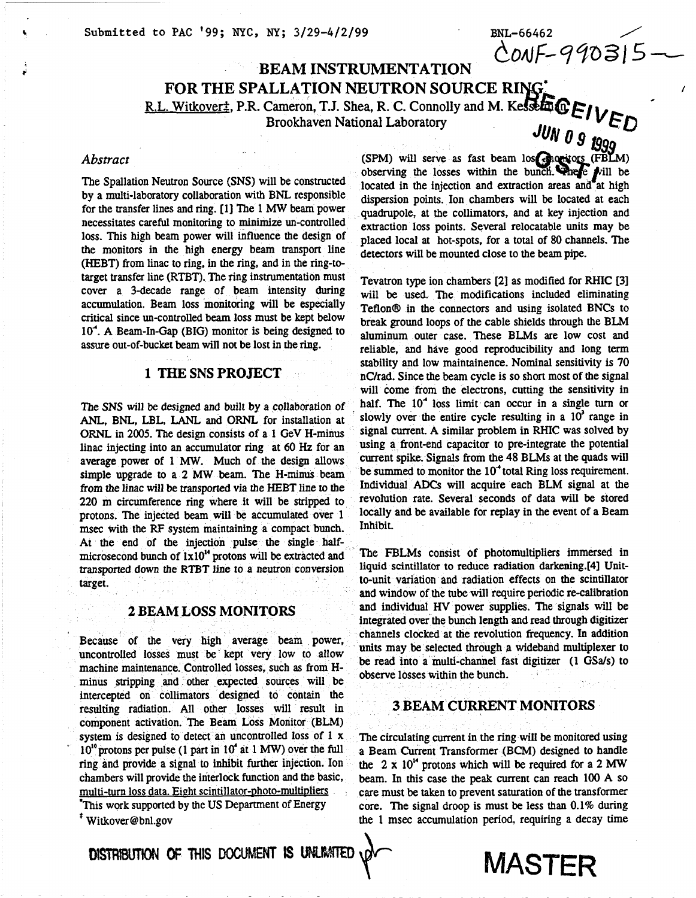**4** Submitted to PAC '99; NYC, NY; 3/29-4/2/99 BNL-66462<br> **4** Submitted to PAC '99; NYC, NY; 3/29-4/2/99 BNL-66462

## *b***EAM INSTRUMENTATION**<br>**FOR THE SPALLATION NEUTRON SOURCE RING: FOR THE SPALLATION NEUTRON SOURCE R** *<sup>1</sup>* R.L. Witkoverz, **P.R.** Cameron, T.J. Shea, R. C. Connolly **and** M. Brookhaven National Laboratory

### *Abstract*

by a multi-laboratory collaboration with BNL responsible for the transfer lines and **ring-** [11 The *MW* **beam** power necessitates careful monitoring to minimize un-controlled the monitors in the high energy beam transport line (HEBT) from linac to ring, in the ring, and in the ring-to- The Spallation Neutron Source (SNS) will be constructed target transfer line (RTBT). The ring instrumentation must cover a 3-decade range of beam intensity during critical since un-controlled beam loss must be kept below accumulation. Beam loss monitoring will be especially  $10<sup>-4</sup>$ . A Beam-In-Gap (BIG) monitor is being designed to assure out-of-bucket **beam** will not be lost in the ring.

### **1 THE SNS PROJECT**

The SNS will be designed and built by a collaboration of ANL, BNL, LBL, LANL and ORNL for installation at ORNL in 2005. The design consists of a 1 GeV H-minus linac injecting into **an** accumulator ring at **60** *HZ* for **an**  average power of 1 *MW,* Much of the design allows simple upgrade to a 2 MW beam. The H-minus beam from the linac will be transported via the HEBT line to the 220 **m** circumference ring where it will be **stripped** to protons. The injected beam will **be** accumulated over 1 msec with the **RF** system maintaining a compact bunch. At the end of the injection pulse the single halfmicrosecond bunch of 1x10" protons will **be** extracted and transported down the RTBT line to a neutron conversion target.

### **2 BEAM LOSS**

Because of the very high average beam power, uncontrolled **losses** must **be** kept very low to allow machine maintenance. Controlled losses, such **as** from Hminus stripping and other expected sources will be intercepted on collimators designed to contain the resulting radiation. All other losses will result in component activation. The Beam Loss Monitor (BLM) system is designed to detect an uncontrolled loss of 1 x 10<sup>to</sup> protons per pulse (1 part in 10<sup>t</sup> at 1 MW) over the full ring and **provide** a signal **to** inhibit **further** injection. Ion chambers will provide the interlock function and the basic, multi-turn loss data. Eight scintillator-photo-multipliers 'This **work** supported by the US Department of Energy

Witkover @ bnl-gov \*

'

onal Laboratory<br>(SPM) will serve as fast beam los **Georgions** (FBLM) observing the losses within the bunch. There will be located in the injection and extraction areas and at high dispersion points. Ion chambers will be located at each quadrupole, at the collimators, and at key injection and extraction loss points. Several relocatable units may be loss. This high beam power will influence the design of placed local at hot-spots, for a total of 80 channels. The beam detectors will be mounted close to the **beam** pipe.

Tevatron type ion chambers [2] as modified for RHIC [3] will be used. The modifications included eliminating Teflon<sup>®</sup> in the connectors and using isolated BNCs to aluminum outer case. These BLMs are low cost and reliable, and have good reproducibility and long term stability and low maintainence. Nominal sensitivity is **70**  nC/rad. Since the **beam** cycle is **so** short most of the signal will come from the electrons, cutting the sensitivity in The SNS will be designed and built by a collaboration of  $\hat{P}$  half. The 10<sup>-4</sup> loss limit can occur in a single turn or slowly over the entire cycle resulting in a  $10<sup>3</sup>$  range in signal current. A similar problem in RHIC was solved by using **a** front-end capacitor to pre-intepate the potential current spike. Signals from the 48 **BLMs** at the quads will be summed to monitor the 10<sup>-4</sup> total Ring loss requirement. Individual *ADcs* Will acquire each BLM Signal at the reV0lUtiOn rate. several seconds Of data Will **be** stored locally and be available for replay in the event of a Beam Inhibit. break ground loops of the cable shields through the BLM

> The FBLMs consist of photomultipliers immersed in liquid scintillator to reduce radiation **darkening.[4]** Unitto-unit variation and radiation effects on the scintillator and window of the **tube** will require periodic recalibration and individual HV power supplies. The signals **will** be integrated over the bunch length and read through digitizer channels clocked at the revolution frequency. In addition **units** may **be** selected through a wideband multiplexer to be read into a multi-channel fast digitizer (1 *GSals)* to observe losses within the bunch.

### **3 BEAM CURRENT MONITORS**

The circulating current in the ring will be monitored using a Beam Current Transformer **(BCM)** designed to handle **the 2** x 10" protons which will **be** required for a 2 *MW*  beam. In this case the *peak* current can reach 100 A **so**  care must **be** taken to prevent saturation of the transformer core. The signal droop is must **be** less than 0.1% during the 1 msec accumulation period, requiring a decay time

DISTRIBUTION OF THIS DOCUMENT IS UNLIMITED

# MASTER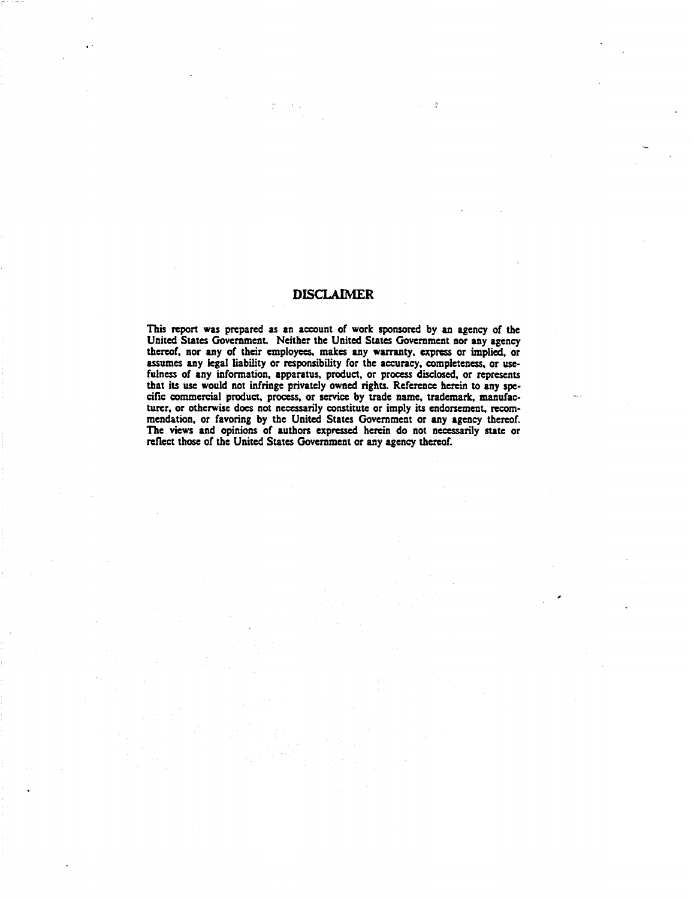### **DISCLAIMER**

 $\mathcal{R}=\mathcal{L}$ 

This **report** was prepared **as an** account of work **sponsored** by an agency of the United States Government. Neither the United States Government nor any agency thereof, nor any of their employees, makes any warranty, express or implied, or assumes any legal liability or responsibility for the accuracy, completeness, or usefulness of any information, apparatus, product, or process disclosed, or represents that its use would not infringe privately owned rights. Reference herein to any specific commercial product, process, or service by trade name, trademark, manufacturer, or otherwise does not necessarily constitute or imply its endorsement, recommendation. or favoring by the United States Government or any agency thereof. The views and opinions of authors expressed herein do not necessarily state or reflect those of the United States Government or any agency thereof.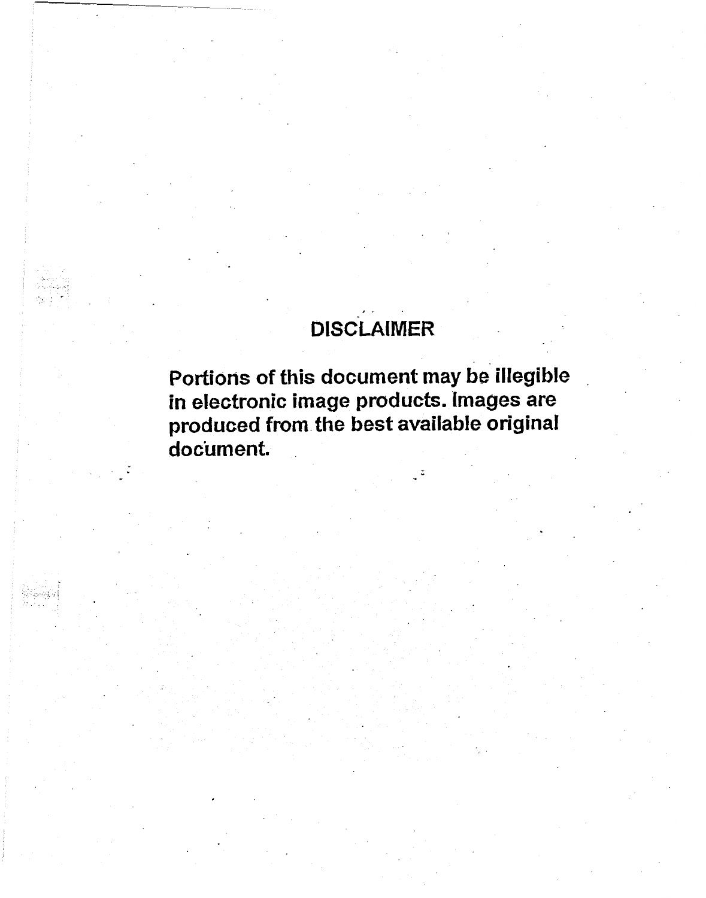## ,- **DISCLAIMER**

.\_

**Portions of this document may be illegible in electronic image products. Images are produced from the best available original document.**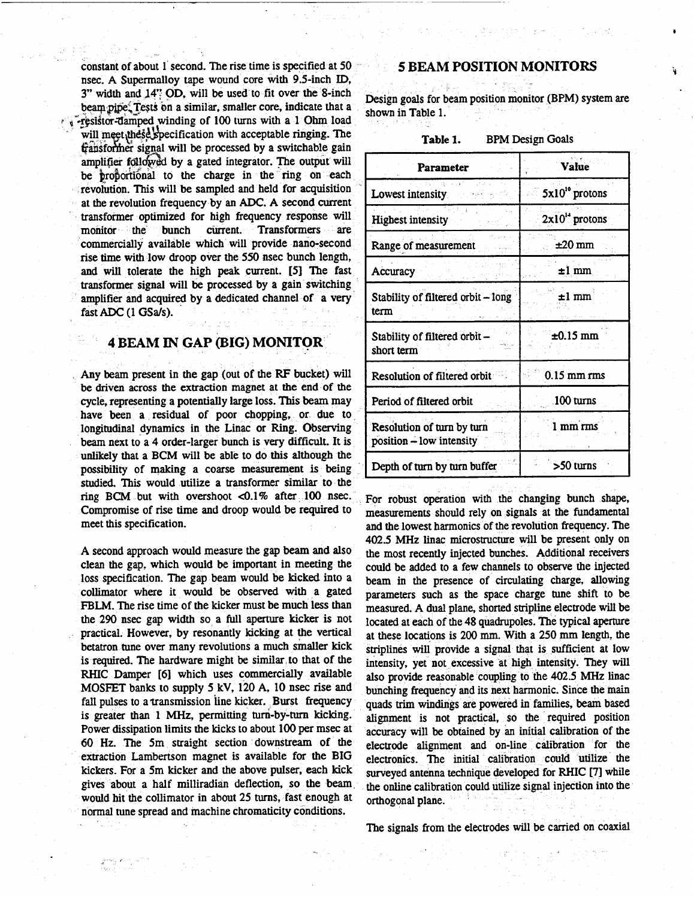constant of about 1 second. The rise time is specified at 50 nsec. A Supermalloy tape wound core with 9.5-inch ID, 3" width and 14" OD, will be used to fit over the 8-inch beam pipe. Tests on a similar, smaller core, indicate that a will meet these specification with acceptable ringing. The fransformer signal will be processed by a switchable gain amplifier followed by a gated integrator. The output will be proportional to the charge in the ring on each revolution. **This** will be sampled and held for acquisition at the revolution frequency by **an** *ADC.* **A** second current transformer optimized for high frequency response will monitor the bunch current. Transformers are commercially available which will provide nano-second rise time with low droop over the 550 nsec bunch length, and will tolerate the high peak current. *[5]* The fast transformer signal will **be** processed by a gain switching amplifier and acquired by a dedicated channel of **a** very fast *ADC* (1 *GSds).*  f -resistor-damped winding of 100 turns with a 1 Ohm load

-

### **4 BEAM IN GAP (BIG) MONITOR**

Any beam present in the gap (out of the RF bucket) will be driven across the extraction magnet at the end of the cycle, representing a potentially large loss. **This beam** may have been a residual of poor chopping, or due to longitudinal dynamics in the Linac or **Ring.** Observing beam next to a **4** order-larger bunch is very difficult. It is unlikely that a BCM will be able to do this **although** the possibility of making a coarse measurement is **being studied.** This would utilize a transformer similar to the ring BCM but with overshoot <0.1% after 100 nsec. For robust operation with the changing bunch shape,<br>Compromise of rise time and droop would be required to measurements should rely on signals at the fundamental

clean the gap, which would be important in meeting the could be added to a few channels to observe the injected loss specification. The gap beam would be kicked into a beam in the presence of circulating charge, allowing Ioss specification. The gap beam would be kicked into a beam in the presence of circulating charge, allowing collimator where it would be observed with a gated parameters such as the space charge tune shift to be FBLM. The rise time of the kicker must be much less than measured. A dual plane, shorted stripline electrode will be the 290 nsec gap width so a full aperture kicker is not located at each of the 48 quadrupoles. The typical aperture practical. However, by resonantly kicking at the vertical at these locations is 200 mm. With a 250 mm length, the betatron tune over many revolutions a much smaller kick striplines will provide a signal that is sufficient is required. The hardware might be similar to that of the intensity, yet not excessive at high intensity. They will RHIC Damper [6] which uses commercially available also provide reasonable coupling to the 402.5 MHz linac **MOSFET** banks to supply 5 kV, 120 A, 10 nsec rise and bunching frequency and its next harmonic. Since the main fall pulses to a transmission line kicker. Burst frequency quads trim windings are powered in families, beam based<br>is greater than 1 MHz, permitting turn-by-turn kicking. alignment is not practical so the required position is greater than 1 MHz, permitting turn-by-turn kicking. alignment is not practical, so the required position<br>Power dissipation limits the kicks to about 100 per msec at accuracy will be obtained by an initial calibration o 60 **Hz.** The 5m straight section downstream Of the electrode alignment and on-line extraction Lambertson magnet is available for the BIG electronics. The initial calibration could utilize the kickers. For a 5m kicker and the above pulser, each kick surveyed antenna technique developed for RHIC [7] while gives about a half milliradian deflection, so the beam. the online calibration could utilize signal injection into the would hit the collimator in about 25 turns, fast enough at orthogonal plane. would hit the collimator in about **25** turns, fast enough at orthogonal plane. normal tune spread and machine chromaticity conditions.

### **5 BEAM POSITION MONITORS**

*I* 

'i

Design goals for beam position monitor (BPM) system are shown in Table 1.

| Parameter                                              | Value                      |
|--------------------------------------------------------|----------------------------|
| Lowest intensity                                       | 5x10 <sup>to</sup> protons |
| <b>Highest intensity</b>                               | $2x10^{14}$ protons        |
| Range of measurement                                   | ±20 mm                     |
| Accuracy                                               | $\pm 1$ mm                 |
| Stability of filtered orbit - long<br>term             | $\pm 1$ mm                 |
| Stability of filtered orbit -<br>short term            | $\pm 0.15$ mm              |
| Resolution of filtered orbit                           | $0.15$ mm rms              |
| Period of filtered orbit                               | 100 turns                  |
| Resolution of turn by turn<br>position - low intensity | 1 mm rms                   |
| Depth of turn by turn buffer                           | >50 turns                  |

measurements should rely on signals at the fundamental meet this specification. and the lowest harmonics of the revolution frequency. The 402.5 MHz **linac** microstructure **will** be present only on A second approach would measure the gap beam and also **the most recently injected bunches.** Additional receivers clean the gap, which would be important in meeting the could be added to a few channels to observe the inject parameters such as the space charge tune shift to be striplines will provide a signal that is sufficient at low

The signals from the electrodes will be carried on coaxial